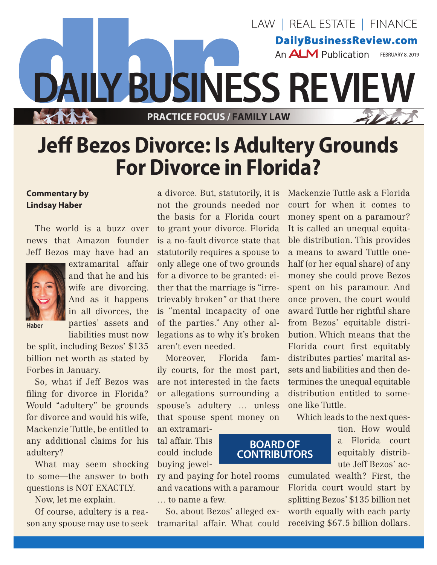

## **Jeff Bezos Divorce: Is Adultery Grounds For Divorce in Florida?**

## **Commentary by Lindsay Haber**

The world is a buzz over news that Amazon founder Jeff Bezos may have had an



extramarital affair and that he and his wife are divorcing. And as it happens in all divorces, the parties' assets and liabilities must now

**Haber**

be split, including Bezos' \$135 billion net worth as stated by Forbes in January.

So, what if Jeff Bezos was filing for divorce in Florida? Would "adultery" be grounds for divorce and would his wife. Mackenzie Tuttle, be entitled to any additional claims for his adultery?

What may seem shocking to some—the answer to both questions is NOT EXACTLY.

Now, let me explain.

Of course, adultery is a reason any spouse may use to seek

a divorce. But, statutorily, it is not the grounds needed nor the basis for a Florida court to grant your divorce. Florida is a no-fault divorce state that statutorily requires a spouse to only allege one of two grounds for a divorce to be granted: either that the marriage is "irretrievably broken" or that there is "mental incapacity of one of the parties." Any other allegations as to why it's broken aren't even needed.

Moreover, Florida family courts, for the most part, are not interested in the facts or allegations surrounding a spouse's adultery … unless that spouse spent money on

an extramarital affair. This could include buying jewel-

and vacations with a paramour … to name a few.

So, about Bezos' alleged extramarital affair. What could Mackenzie Tuttle ask a Florida court for when it comes to money spent on a paramour? It is called an unequal equitable distribution. This provides a means to award Tuttle onehalf (or her equal share) of any money she could prove Bezos spent on his paramour. And once proven, the court would award Tuttle her rightful share from Bezos' equitable distribution. Which means that the Florida court first equitably distributes parties' marital assets and liabilities and then determines the unequal equitable distribution entitled to someone like Tuttle.

Which leads to the next ques-

tion. How would a Florida court equitably distribute Jeff Bezos' ac-

ry and paying for hotel rooms cumulated wealth? First, the Florida court would start by splitting Bezos' \$135 billion net worth equally with each party receiving \$67.5 billion dollars.

## **BOARD OF CONTRIBUTORS**